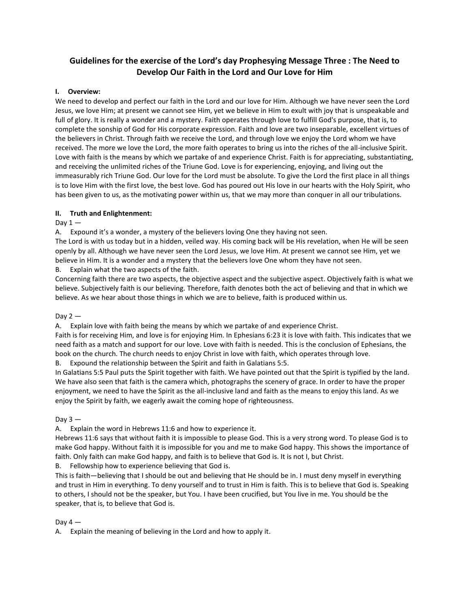# **Guidelines for the exercise of the Lord's day Prophesying Message Three : The Need to Develop Our Faith in the Lord and Our Love for Him**

## **I. Overview:**

We need to develop and perfect our faith in the Lord and our love for Him. Although we have never seen the Lord Jesus, we love Him; at present we cannot see Him, yet we believe in Him to exult with joy that is unspeakable and full of glory. It is really a wonder and a mystery. Faith operates through love to fulfill God's purpose, that is, to complete the sonship of God for His corporate expression. Faith and love are two inseparable, excellent virtues of the believers in Christ. Through faith we receive the Lord, and through love we enjoy the Lord whom we have received. The more we love the Lord, the more faith operates to bring us into the riches of the all-inclusive Spirit. Love with faith is the means by which we partake of and experience Christ. Faith is for appreciating, substantiating, and receiving the unlimited riches of the Triune God. Love is for experiencing, enjoying, and living out the immeasurably rich Triune God. Our love for the Lord must be absolute. To give the Lord the first place in all things is to love Him with the first love, the best love. God has poured out His love in our hearts with the Holy Spirit, who has been given to us, as the motivating power within us, that we may more than conquer in all our tribulations.

## **II. Truth and Enlightenment:**

## Day  $1 -$

A. Expound it's a wonder, a mystery of the believers loving One they having not seen.

The Lord is with us today but in a hidden, veiled way. His coming back will be His revelation, when He will be seen openly by all. Although we have never seen the Lord Jesus, we love Him. At present we cannot see Him, yet we believe in Him. It is a wonder and a mystery that the believers love One whom they have not seen.

B. Explain what the two aspects of the faith.

Concerning faith there are two aspects, the objective aspect and the subjective aspect. Objectively faith is what we believe. Subjectively faith is our believing. Therefore, faith denotes both the act of believing and that in which we believe. As we hear about those things in which we are to believe, faith is produced within us.

## Day  $2-$

A. Explain love with faith being the means by which we partake of and experience Christ.

Faith is for receiving Him, and love is for enjoying Him. In Ephesians 6:23 it is love with faith. This indicates that we need faith as a match and support for our love. Love with faith is needed. This is the conclusion of Ephesians, the book on the church. The church needs to enjoy Christ in love with faith, which operates through love.

B. Expound the relationship between the Spirit and faith in Galatians 5:5.

In Galatians 5:5 Paul puts the Spirit together with faith. We have pointed out that the Spirit is typified by the land. We have also seen that faith is the camera which, photographs the scenery of grace. In order to have the proper enjoyment, we need to have the Spirit as the all-inclusive land and faith as the means to enjoy this land. As we enjoy the Spirit by faith, we eagerly await the coming hope of righteousness.

## Day  $3 -$

A. Explain the word in Hebrews 11:6 and how to experience it.

Hebrews 11:6 says that without faith it is impossible to please God. This is a very strong word. To please God is to make God happy. Without faith it is impossible for you and me to make God happy. This shows the importance of faith. Only faith can make God happy, and faith is to believe that God is. It is not I, but Christ.

B. Fellowship how to experience believing that God is.

This is faith—believing that I should be out and believing that He should be in. I must deny myself in everything and trust in Him in everything. To deny yourself and to trust in Him is faith. This is to believe that God is. Speaking to others, I should not be the speaker, but You. I have been crucified, but You live in me. You should be the speaker, that is, to believe that God is.

## Day  $4-$

A. Explain the meaning of believing in the Lord and how to apply it.